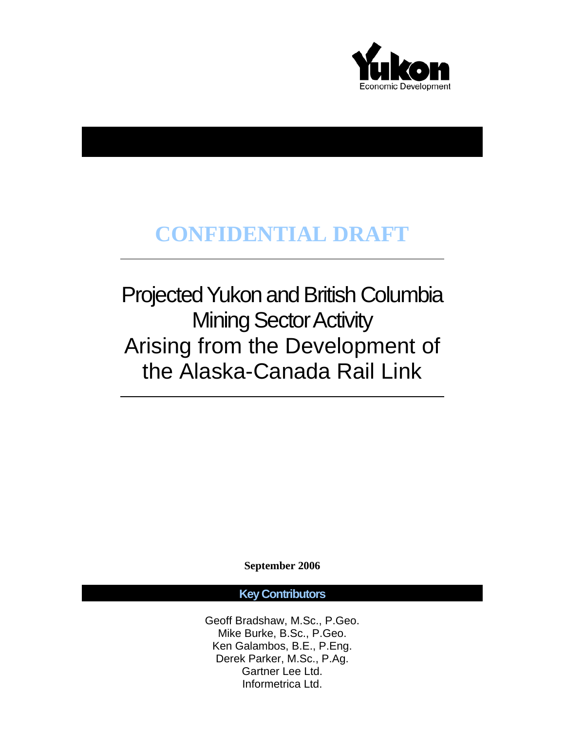

# **CONFIDENTIAL DRAFT**

Projected Yukon and British Columbia Mining Sector Activity Arising from the Development of the Alaska-Canada Rail Link

**September 2006** 

# **Key Contributors**

Geoff Bradshaw, M.Sc., P.Geo. Mike Burke, B.Sc., P.Geo. Ken Galambos, B.E., P.Eng. Derek Parker, M.Sc., P.Ag. Gartner Lee Ltd. Informetrica Ltd.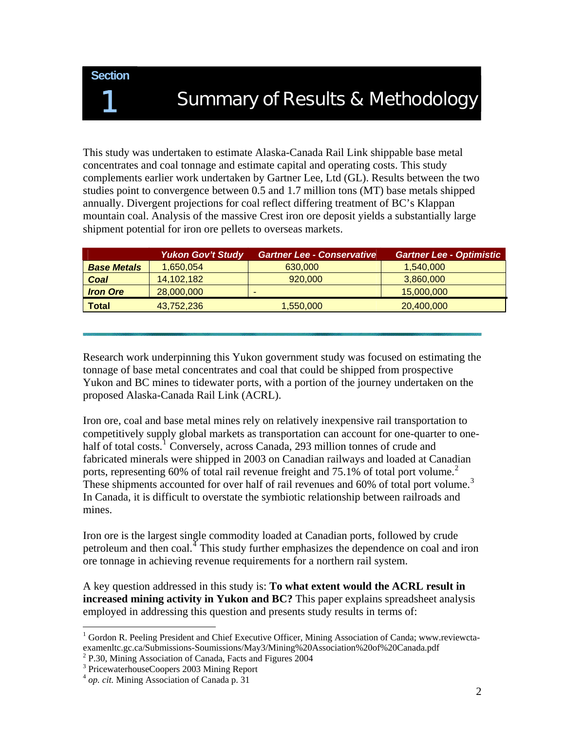**Section** 

# **Summary of Results & Methodology**

This study was undertaken to estimate Alaska-Canada Rail Link shippable base metal concentrates and coal tonnage and estimate capital and operating costs. This study complements earlier work undertaken by Gartner Lee, Ltd (GL). Results between the two studies point to convergence between 0.5 and 1.7 million tons (MT) base metals shipped annually. Divergent projections for coal reflect differing treatment of BC's Klappan mountain coal. Analysis of the massive Crest iron ore deposit yields a substantially large shipment potential for iron ore pellets to overseas markets.

|                    | <b>Yukon Gov't Study</b> | <b>Gartner Lee - Conservative</b> | <b>Gartner Lee - Optimistic</b> |
|--------------------|--------------------------|-----------------------------------|---------------------------------|
| <b>Base Metals</b> | 1,650,054                | 630,000                           | 1,540,000                       |
| Coal               | 14,102,182               | 920,000                           | 3,860,000                       |
| <b>Iron Ore</b>    | 28,000,000               | $\overline{\phantom{a}}$          | 15,000,000                      |
| <b>Total</b>       | 43.752.236               | 1,550,000                         | 20,400,000                      |

Research work underpinning this Yukon government study was focused on estimating the tonnage of base metal concentrates and coal that could be shipped from prospective Yukon and BC mines to tidewater ports, with a portion of the journey undertaken on the proposed Alaska-Canada Rail Link (ACRL).

Iron ore, coal and base metal mines rely on relatively inexpensive rail transportation to competitively supply global markets as transportation can account for one-quarter to one-half of total costs.<sup>[1](#page-1-0)</sup> Conversely, across Canada, 293 million tonnes of crude and fabricated minerals were shipped in 2003 on Canadian railways and loaded at Canadian ports, representing 60% of total rail revenue freight and 75.1% of total port volume.<sup>[2](#page-1-1)</sup> These shipments accounted for over half of rail revenues and  $60\%$  of total port volume.<sup>[3](#page-1-2)</sup> In Canada, it is difficult to overstate the symbiotic relationship between railroads and mines.

Iron ore is the largest single commodity loaded at Canadian ports, followed by crude petroleum and then  $\cosh^4$  $\cosh^4$  This study further emphasizes the dependence on coal and iron ore tonnage in achieving revenue requirements for a northern rail system.

A key question addressed in this study is: **To what extent would the ACRL result in increased mining activity in Yukon and BC?** This paper explains spreadsheet analysis employed in addressing this question and presents study results in terms of:

 $\overline{a}$ 

<span id="page-1-0"></span><sup>&</sup>lt;sup>1</sup> Gordon R. Peeling President and Chief Executive Officer, Mining Association of Canda; www.reviewctaexamenltc.gc.ca/Submissions-Soumissions/May3/Mining%20Association%20of%20Canada.pdf

<span id="page-1-2"></span><span id="page-1-1"></span><sup>2</sup> P.30, Mining Association of Canada, Facts and Figures 2004

<sup>&</sup>lt;sup>3</sup> PricewaterhouseCoopers 2003 Mining Report

<span id="page-1-3"></span><sup>4</sup> *op. cit.* Mining Association of Canada p. 31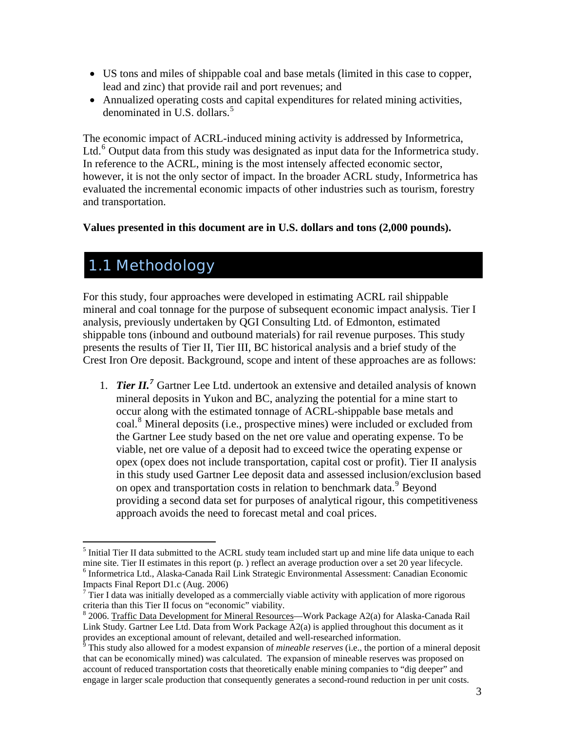- US tons and miles of shippable coal and base metals (limited in this case to copper, lead and zinc) that provide rail and port revenues; and
- Annualized operating costs and capital expenditures for related mining activities, denominated in U.S. dollars. $5$

The economic impact of ACRL-induced mining activity is addressed by Informetrica, Ltd.<sup>[6](#page-2-1)</sup> Output data from this study was designated as input data for the Informetrica study. In reference to the ACRL, mining is the most intensely affected economic sector, however, it is not the only sector of impact. In the broader ACRL study, Informetrica has evaluated the incremental economic impacts of other industries such as tourism, forestry and transportation.

# **Values presented in this document are in U.S. dollars and tons (2,000 pounds).**

# 1.1 Methodology

 $\overline{a}$ 

For this study, four approaches were developed in estimating ACRL rail shippable mineral and coal tonnage for the purpose of subsequent economic impact analysis. Tier I analysis, previously undertaken by QGI Consulting Ltd. of Edmonton, estimated shippable tons (inbound and outbound materials) for rail revenue purposes. This study presents the results of Tier II, Tier III, BC historical analysis and a brief study of the Crest Iron Ore deposit. Background, scope and intent of these approaches are as follows:

1. *Tier II.[7](#page-2-2)* Gartner Lee Ltd. undertook an extensive and detailed analysis of known mineral deposits in Yukon and BC, analyzing the potential for a mine start to occur along with the estimated tonnage of ACRL-shippable base metals and coal.<sup>[8](#page-2-3)</sup> Mineral deposits (i.e., prospective mines) were included or excluded from the Gartner Lee study based on the net ore value and operating expense. To be viable, net ore value of a deposit had to exceed twice the operating expense or opex (opex does not include transportation, capital cost or profit). Tier II analysis in this study used Gartner Lee deposit data and assessed inclusion/exclusion based on opex and transportation costs in relation to benchmark data.<sup>[9](#page-2-4)</sup> Beyond providing a second data set for purposes of analytical rigour, this competitiveness approach avoids the need to forecast metal and coal prices.

<span id="page-2-1"></span><span id="page-2-0"></span> $<sup>5</sup>$  Initial Tier II data submitted to the ACRL study team included start up and mine life data unique to each</sup> mine site. Tier II estimates in this report (p. ) reflect an average production over a set 20 year lifecycle. <sup>6</sup> Informetrica Ltd., Alaska-Canada Rail Link Strategic Environmental Assessment: Canadian Economic Impacts Final Report D1.c (Aug. 2006)

<span id="page-2-2"></span> $7$  Tier I data was initially developed as a commercially viable activity with application of more rigorous criteria than this Tier II focus on "economic" viability.

<span id="page-2-3"></span><sup>&</sup>lt;sup>8</sup> 2006. Traffic Data Development for Mineral Resources—Work Package A2(a) for Alaska-Canada Rail Link Study. Gartner Lee Ltd. Data from Work Package A2(a) is applied throughout this document as it provides an exceptional amount of relevant, detailed and well-researched information. 9 This study also allowed for a modest expansion of *mineable reserves* (i.e., the portion of a mineral deposit

<span id="page-2-4"></span>that can be economically mined) was calculated. The expansion of mineable reserves was proposed on account of reduced transportation costs that theoretically enable mining companies to "dig deeper" and engage in larger scale production that consequently generates a second-round reduction in per unit costs.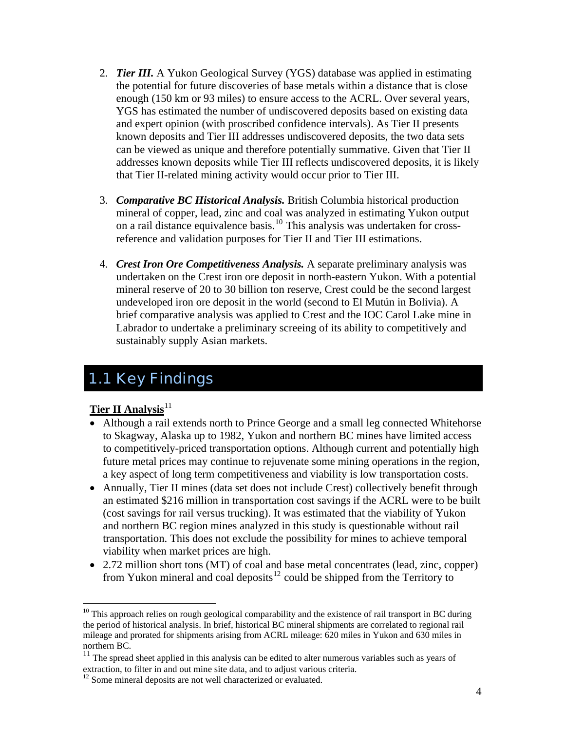- 2. *Tier III.* A Yukon Geological Survey (YGS) database was applied in estimating the potential for future discoveries of base metals within a distance that is close enough (150 km or 93 miles) to ensure access to the ACRL. Over several years, YGS has estimated the number of undiscovered deposits based on existing data and expert opinion (with proscribed confidence intervals). As Tier II presents known deposits and Tier III addresses undiscovered deposits, the two data sets can be viewed as unique and therefore potentially summative. Given that Tier II addresses known deposits while Tier III reflects undiscovered deposits, it is likely that Tier II-related mining activity would occur prior to Tier III.
- 3. *Comparative BC Historical Analysis.* British Columbia historical production mineral of copper, lead, zinc and coal was analyzed in estimating Yukon output on a rail distance equivalence basis.[10](#page-3-0) This analysis was undertaken for crossreference and validation purposes for Tier II and Tier III estimations.
- 4. *Crest Iron Ore Competitiveness Analysis.* A separate preliminary analysis was undertaken on the Crest iron ore deposit in north-eastern Yukon. With a potential mineral reserve of 20 to 30 billion ton reserve, Crest could be the second largest undeveloped iron ore deposit in the world (second to El Mutún in Bolivia). A brief comparative analysis was applied to Crest and the IOC Carol Lake mine in Labrador to undertake a preliminary screeing of its ability to competitively and sustainably supply Asian markets.

# 1.1 Key Findings

# **Tier II Analysis**<sup>[11](#page-3-1)</sup>

- Although a rail extends north to Prince George and a small leg connected Whitehorse to Skagway, Alaska up to 1982, Yukon and northern BC mines have limited access to competitively-priced transportation options. Although current and potentially high future metal prices may continue to rejuvenate some mining operations in the region, a key aspect of long term competitiveness and viability is low transportation costs.
- Annually, Tier II mines (data set does not include Crest) collectively benefit through an estimated \$216 million in transportation cost savings if the ACRL were to be built (cost savings for rail versus trucking). It was estimated that the viability of Yukon and northern BC region mines analyzed in this study is questionable without rail transportation. This does not exclude the possibility for mines to achieve temporal viability when market prices are high.
- 2.72 million short tons (MT) of coal and base metal concentrates (lead, zinc, copper) from Yukon mineral and coal deposits<sup>[12](#page-3-2)</sup> could be shipped from the Territory to

<span id="page-3-0"></span> $\overline{a}$  $10$  This approach relies on rough geological comparability and the existence of rail transport in BC during the period of historical analysis. In brief, historical BC mineral shipments are correlated to regional rail mileage and prorated for shipments arising from ACRL mileage: 620 miles in Yukon and 630 miles in northern BC.

<span id="page-3-1"></span> $11$  The spread sheet applied in this analysis can be edited to alter numerous variables such as years of extraction, to filter in and out mine site data, and to adjust various criteria.

<span id="page-3-2"></span> $12$  Some mineral deposits are not well characterized or evaluated.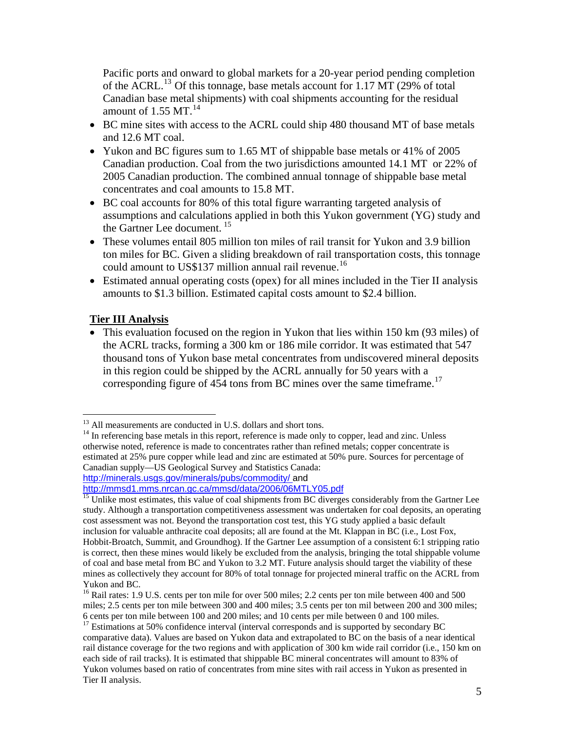Pacific ports and onward to global markets for a 20-year period pending completion of the ACRL.[13](#page-4-0) Of this tonnage, base metals account for 1.17 MT (29% of total Canadian base metal shipments) with coal shipments accounting for the residual amount of 1.55 MT. $^{14}$  $^{14}$  $^{14}$ 

- BC mine sites with access to the ACRL could ship 480 thousand MT of base metals and 12.6 MT coal.
- Yukon and BC figures sum to 1.65 MT of shippable base metals or 41% of 2005 Canadian production. Coal from the two jurisdictions amounted 14.1 MT or 22% of 2005 Canadian production. The combined annual tonnage of shippable base metal concentrates and coal amounts to 15.8 MT.
- BC coal accounts for 80% of this total figure warranting targeted analysis of assumptions and calculations applied in both this Yukon government (YG) study and the Gartner Lee document. [15](#page-4-2)
- These volumes entail 805 million ton miles of rail transit for Yukon and 3.9 billion ton miles for BC. Given a sliding breakdown of rail transportation costs, this tonnage could amount to US\$137 million annual rail revenue.<sup>[16](#page-4-3)</sup>
- Estimated annual operating costs (opex) for all mines included in the Tier II analysis amounts to \$1.3 billion. Estimated capital costs amount to \$2.4 billion.

# **Tier III Analysis**

 $\overline{a}$ 

• This evaluation focused on the region in Yukon that lies within 150 km (93 miles) of the ACRL tracks, forming a 300 km or 186 mile corridor. It was estimated that 547 thousand tons of Yukon base metal concentrates from undiscovered mineral deposits in this region could be shipped by the ACRL annually for 50 years with a corresponding figure of 454 tons from BC mines over the same timeframe.<sup>[17](#page-4-4)</sup>

<http://minerals.usgs.gov/minerals/pubs/commodity/>and<br>http://mmsd1.mms.nrcan.gc.ca/mmsd/data/2006/06MTLY05.pdf

<sup>&</sup>lt;sup>13</sup> All measurements are conducted in U.S. dollars and short tons.

<span id="page-4-1"></span><span id="page-4-0"></span><sup>&</sup>lt;sup>14</sup> In referencing base metals in this report, reference is made only to copper, lead and zinc. Unless otherwise noted, reference is made to concentrates rather than refined metals; copper concentrate is estimated at 25% pure copper while lead and zinc are estimated at 50% pure. Sources for percentage of Canadian supply—US Geological Survey and Statistics Canada:

<span id="page-4-2"></span> $\frac{15}{15}$  Unlike most estimates, this value of coal shipments from BC diverges considerably from the Gartner Lee study. Although a transportation competitiveness assessment was undertaken for coal deposits, an operating cost assessment was not. Beyond the transportation cost test, this YG study applied a basic default inclusion for valuable anthracite coal deposits; all are found at the Mt. Klappan in BC (i.e., Lost Fox, Hobbit-Broatch, Summit, and Groundhog). If the Gartner Lee assumption of a consistent 6:1 stripping ratio is correct, then these mines would likely be excluded from the analysis, bringing the total shippable volume of coal and base metal from BC and Yukon to 3.2 MT. Future analysis should target the viability of these mines as collectively they account for 80% of total tonnage for projected mineral traffic on the ACRL from Yukon and BC.

<span id="page-4-3"></span><sup>&</sup>lt;sup>16</sup> Rail rates: 1.9 U.S. cents per ton mile for over 500 miles; 2.2 cents per ton mile between 400 and 500 miles; 2.5 cents per ton mile between 300 and 400 miles; 3.5 cents per ton mil between 200 and 300 miles; 6 cents per ton mile between 100 and 200 miles; and 10 cents per mile between 0 and 100 miles.

<span id="page-4-4"></span><sup>&</sup>lt;sup>17</sup> Estimations at 50% confidence interval (interval corresponds and is supported by secondary BC comparative data). Values are based on Yukon data and extrapolated to BC on the basis of a near identical rail distance coverage for the two regions and with application of 300 km wide rail corridor (i.e., 150 km on each side of rail tracks). It is estimated that shippable BC mineral concentrates will amount to 83% of Yukon volumes based on ratio of concentrates from mine sites with rail access in Yukon as presented in Tier II analysis.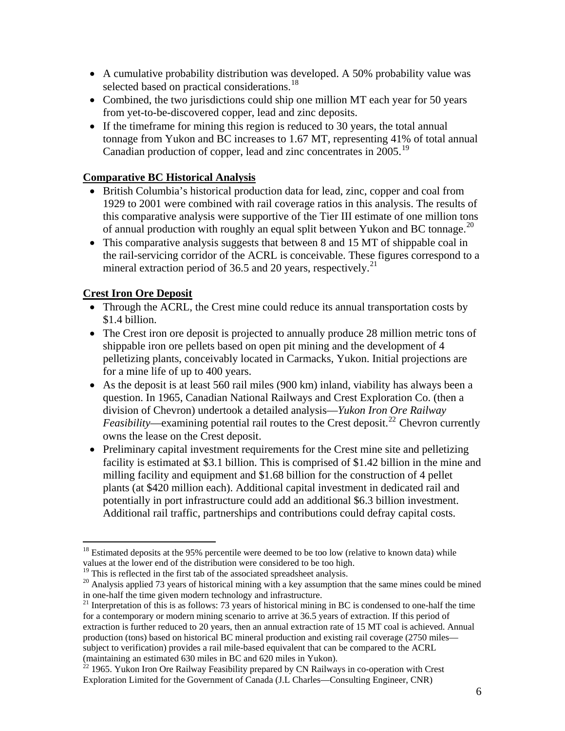- A cumulative probability distribution was developed. A 50% probability value was selected based on practical considerations.<sup>[18](#page-5-0)</sup>
- Combined, the two jurisdictions could ship one million MT each year for 50 years from yet-to-be-discovered copper, lead and zinc deposits.
- If the timeframe for mining this region is reduced to 30 years, the total annual tonnage from Yukon and BC increases to 1.67 MT, representing 41% of total annual Canadian production of copper, lead and zinc concentrates in 2005.[19](#page-5-1)

# **Comparative BC Historical Analysis**

- British Columbia's historical production data for lead, zinc, copper and coal from 1929 to 2001 were combined with rail coverage ratios in this analysis. The results of this comparative analysis were supportive of the Tier III estimate of one million tons of annual production with roughly an equal split between Yukon and BC tonnage.<sup>[20](#page-5-2)</sup>
- This comparative analysis suggests that between 8 and 15 MT of shippable coal in the rail-servicing corridor of the ACRL is conceivable. These figures correspond to a mineral extraction period of 36.5 and 20 years, respectively.<sup>[21](#page-5-3)</sup>

# **Crest Iron Ore Deposit**

 $\overline{a}$ 

- Through the ACRL, the Crest mine could reduce its annual transportation costs by \$1.4 billion.
- The Crest iron ore deposit is projected to annually produce 28 million metric tons of shippable iron ore pellets based on open pit mining and the development of 4 pelletizing plants, conceivably located in Carmacks, Yukon. Initial projections are for a mine life of up to 400 years.
- As the deposit is at least 560 rail miles (900 km) inland, viability has always been a question. In 1965, Canadian National Railways and Crest Exploration Co. (then a division of Chevron) undertook a detailed analysis—*Yukon Iron Ore Railway Feasibility*—examining potential rail routes to the Crest deposit.<sup>[22](#page-5-4)</sup> Chevron currently owns the lease on the Crest deposit.
- Preliminary capital investment requirements for the Crest mine site and pelletizing facility is estimated at \$3.1 billion. This is comprised of \$1.42 billion in the mine and milling facility and equipment and \$1.68 billion for the construction of 4 pellet plants (at \$420 million each). Additional capital investment in dedicated rail and potentially in port infrastructure could add an additional \$6.3 billion investment. Additional rail traffic, partnerships and contributions could defray capital costs.

<span id="page-5-0"></span><sup>&</sup>lt;sup>18</sup> Estimated deposits at the 95% percentile were deemed to be too low (relative to known data) while values at the lower end of the distribution were considered to be too high.<br><sup>19</sup> This is reflected in the first tab of the associated spreadsheet analysis.

<span id="page-5-2"></span><span id="page-5-1"></span> $^{20}$  Analysis applied 73 years of historical mining with a key assumption that the same mines could be mined in one-half the time given modern technology and infrastructure.

<span id="page-5-3"></span><sup>&</sup>lt;sup>21</sup> Interpretation of this is as follows: 73 years of historical mining in BC is condensed to one-half the time for a contemporary or modern mining scenario to arrive at 36.5 years of extraction. If this period of extraction is further reduced to 20 years, then an annual extraction rate of 15 MT coal is achieved. Annual production (tons) based on historical BC mineral production and existing rail coverage (2750 miles subject to verification) provides a rail mile-based equivalent that can be compared to the ACRL (maintaining an estimated 630 miles in BC and 620 miles in Yukon).

<span id="page-5-4"></span> $^{22}$  1965. Yukon Iron Ore Railway Feasibility prepared by CN Railways in co-operation with Crest Exploration Limited for the Government of Canada (J.L Charles—Consulting Engineer, CNR)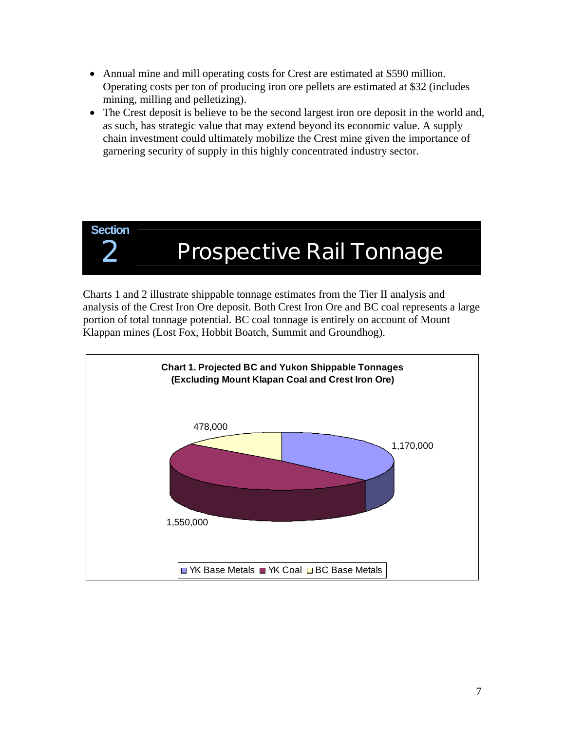- Annual mine and mill operating costs for Crest are estimated at \$590 million. Operating costs per ton of producing iron ore pellets are estimated at \$32 (includes mining, milling and pelletizing).
- The Crest deposit is believe to be the second largest iron ore deposit in the world and, as such, has strategic value that may extend beyond its economic value. A supply chain investment could ultimately mobilize the Crest mine given the importance of garnering security of supply in this highly concentrated industry sector.



# **Prospective Rail Tonnage**

Charts 1 and 2 illustrate shippable tonnage estimates from the Tier II analysis and analysis of the Crest Iron Ore deposit. Both Crest Iron Ore and BC coal represents a large portion of total tonnage potential. BC coal tonnage is entirely on account of Mount Klappan mines (Lost Fox, Hobbit Boatch, Summit and Groundhog).

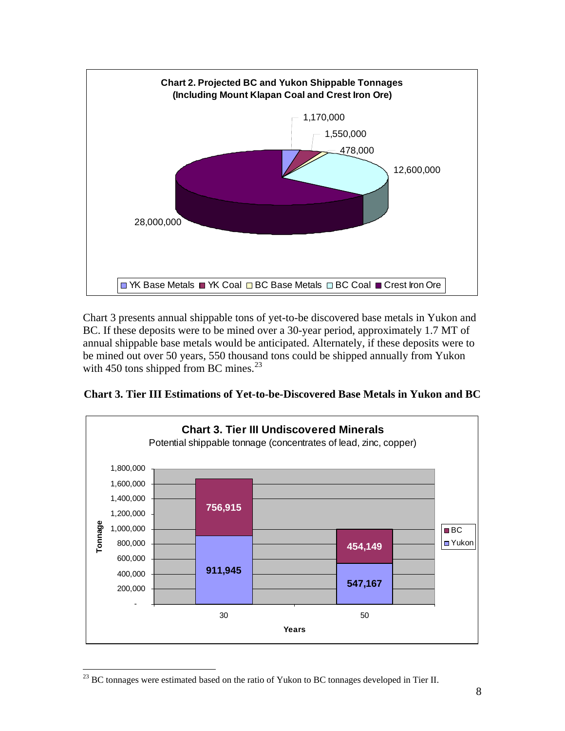

Chart 3 presents annual shippable tons of yet-to-be discovered base metals in Yukon and BC. If these deposits were to be mined over a 30-year period, approximately 1.7 MT of annual shippable base metals would be anticipated. Alternately, if these deposits were to be mined out over 50 years, 550 thousand tons could be shipped annually from Yukon with 450 tons shipped from BC mines. $^{23}$  $^{23}$  $^{23}$ 





<span id="page-7-0"></span><sup>1</sup>  $^{23}$  BC tonnages were estimated based on the ratio of Yukon to BC tonnages developed in Tier II.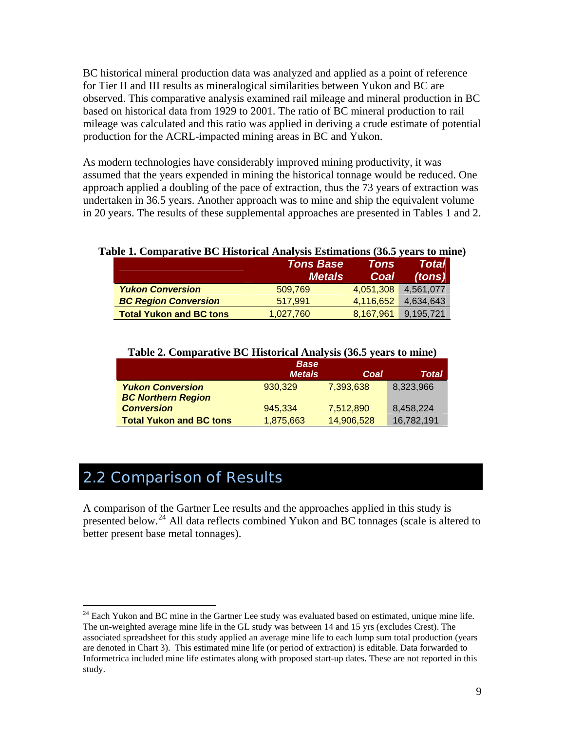BC historical mineral production data was analyzed and applied as a point of reference for Tier II and III results as mineralogical similarities between Yukon and BC are observed. This comparative analysis examined rail mileage and mineral production in BC based on historical data from 1929 to 2001. The ratio of BC mineral production to rail mileage was calculated and this ratio was applied in deriving a crude estimate of potential production for the ACRL-impacted mining areas in BC and Yukon.

As modern technologies have considerably improved mining productivity, it was assumed that the years expended in mining the historical tonnage would be reduced. One approach applied a doubling of the pace of extraction, thus the 73 years of extraction was undertaken in 36.5 years. Another approach was to mine and ship the equivalent volume in 20 years. The results of these supplemental approaches are presented in Tables 1 and 2.

#### **Table 1. Comparative BC Historical Analysis Estimations (36.5 years to mine)**

|                                | <b>Tons Base</b><br><b>Metals</b> | Tons<br>Coal | <b>Total</b><br>(tons) |
|--------------------------------|-----------------------------------|--------------|------------------------|
| <b>Yukon Conversion</b>        | 509.769                           | 4.051.308    | 4.561.077              |
| <b>BC Region Conversion</b>    | 517.991                           | 4.116.652    | 4.634.643              |
| <b>Total Yukon and BC tons</b> | 1,027,760                         | 8,167,961    | 9,195,721              |

|                                | <b>Base</b><br><b>Metals</b> | Coal       | <b>Total</b> |
|--------------------------------|------------------------------|------------|--------------|
| <b>Yukon Conversion</b>        | 930.329                      | 7.393.638  | 8,323,966    |
| <b>BC Northern Region</b>      |                              |            |              |
| <b>Conversion</b>              | 945.334                      | 7,512,890  | 8,458,224    |
| <b>Total Yukon and BC tons</b> | 1,875,663                    | 14,906,528 | 16,782,191   |

#### **Table 2. Comparative BC Historical Analysis (36.5 years to mine)**

# 2.2 Comparison of Results

 $\overline{a}$ 

A comparison of the Gartner Lee results and the approaches applied in this study is presented below.<sup>[24](#page-8-0)</sup> All data reflects combined Yukon and BC tonnages (scale is altered to better present base metal tonnages).

<span id="page-8-0"></span> $24$  Each Yukon and BC mine in the Gartner Lee study was evaluated based on estimated, unique mine life. The un-weighted average mine life in the GL study was between 14 and 15 yrs (excludes Crest). The associated spreadsheet for this study applied an average mine life to each lump sum total production (years are denoted in Chart 3). This estimated mine life (or period of extraction) is editable. Data forwarded to Informetrica included mine life estimates along with proposed start-up dates. These are not reported in this study.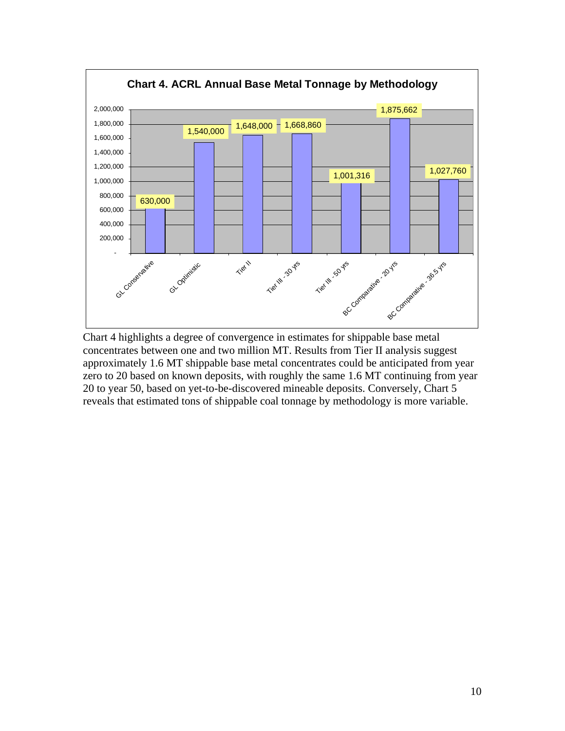

Chart 4 highlights a degree of convergence in estimates for shippable base metal concentrates between one and two million MT. Results from Tier II analysis suggest approximately 1.6 MT shippable base metal concentrates could be anticipated from year zero to 20 based on known deposits, with roughly the same 1.6 MT continuing from year 20 to year 50, based on yet-to-be-discovered mineable deposits. Conversely, Chart 5 reveals that estimated tons of shippable coal tonnage by methodology is more variable.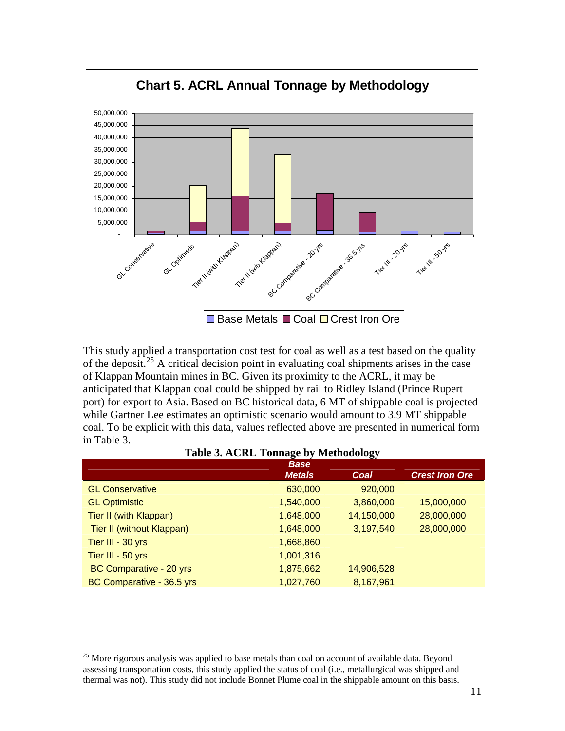

This study applied a transportation cost test for coal as well as a test based on the quality of the deposit.<sup>[25](#page-10-0)</sup> A critical decision point in evaluating coal shipments arises in the case of Klappan Mountain mines in BC. Given its proximity to the ACRL, it may be anticipated that Klappan coal could be shipped by rail to Ridley Island (Prince Rupert port) for export to Asia. Based on BC historical data, 6 MT of shippable coal is projected while Gartner Lee estimates an optimistic scenario would amount to 3.9 MT shippable coal. To be explicit with this data, values reflected above are presented in numerical form in Table 3.

| <b>Base</b> | Coal          | <b>Crest Iron Ore</b> |
|-------------|---------------|-----------------------|
| 630,000     | 920,000       |                       |
| 1,540,000   | 3,860,000     | 15,000,000            |
| 1,648,000   | 14,150,000    | 28,000,000            |
| 1,648,000   | 3,197,540     | 28,000,000            |
| 1,668,860   |               |                       |
| 1,001,316   |               |                       |
| 1,875,662   | 14,906,528    |                       |
| 1,027,760   | 8,167,961     |                       |
|             | <b>Metals</b> |                       |

<span id="page-10-0"></span> $\overline{a}$ 

<span id="page-10-1"></span><sup>&</sup>lt;sup>25</sup> More rigorous analysis was applied to base metals than coal on account of available data. Beyond assessing transportation costs, this study applied the status of coal (i.e., metallurgical was shipped and thermal was not). This study did not include Bonnet Plume coal in the shippable amount on this basis.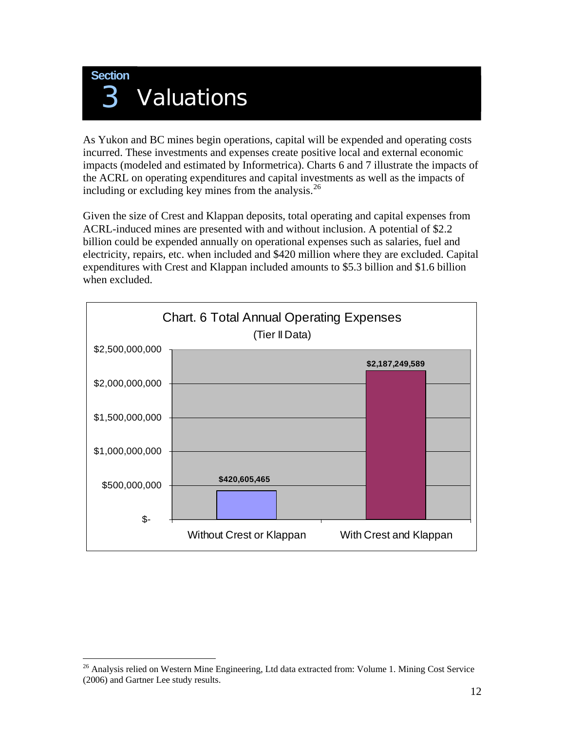

As Yukon and BC mines begin operations, capital will be expended and operating costs incurred. These investments and expenses create positive local and external economic impacts (modeled and estimated by Informetrica). Charts 6 and 7 illustrate the impacts of the ACRL on operating expenditures and capital investments as well as the impacts of including or excluding key mines from the analysis. $26$ 

Given the size of Crest and Klappan deposits, total operating and capital expenses from ACRL-induced mines are presented with and without inclusion. A potential of \$2.2 billion could be expended annually on operational expenses such as salaries, fuel and electricity, repairs, etc. when included and \$420 million where they are excluded. Capital expenditures with Crest and Klappan included amounts to \$5.3 billion and \$1.6 billion when excluded.



1

<sup>&</sup>lt;sup>26</sup> Analysis relied on Western Mine Engineering, Ltd data extracted from: Volume 1. Mining Cost Service (2006) and Gartner Lee study results.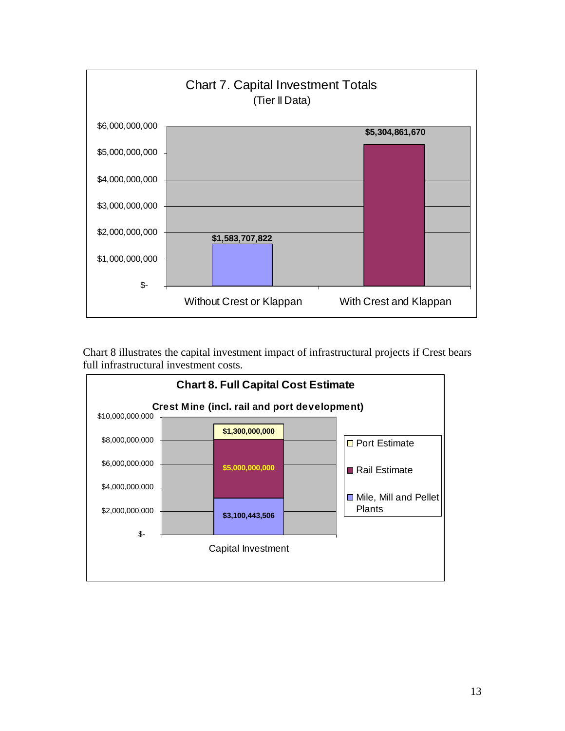

Chart 8 illustrates the capital investment impact of infrastructural projects if Crest bears full infrastructural investment costs.

<span id="page-12-0"></span>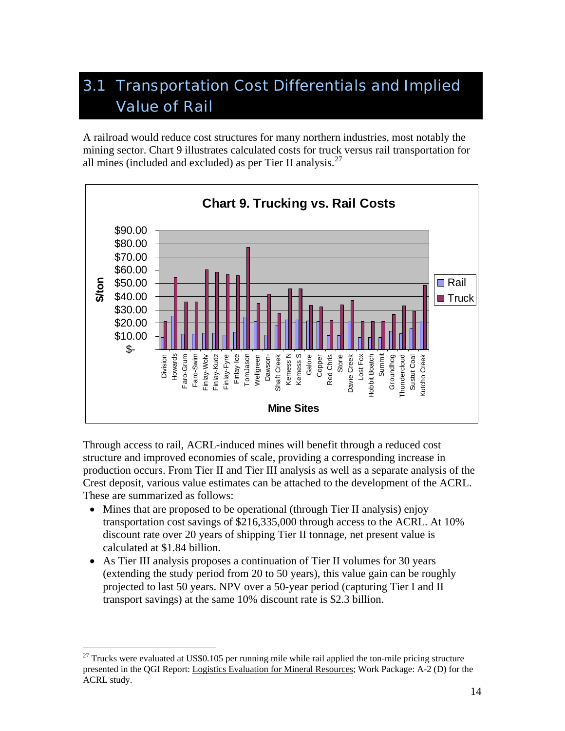# 3.1 Transportation Cost Differentials and Implied Value of Rail

A railroad would reduce cost structures for many northern industries, most notably the mining sector. Chart 9 illustrates calculated costs for truck versus rail transportation for all mines (included and excluded) as per Tier II analysis. $27$ 



Through access to rail, ACRL-induced mines will benefit through a reduced cost structure and improved economies of scale, providing a corresponding increase in production occurs. From Tier II and Tier III analysis as well as a separate analysis of the Crest deposit, various value estimates can be attached to the development of the ACRL. These are summarized as follows:

- Mines that are proposed to be operational (through Tier II analysis) enjoy transportation cost savings of \$216,335,000 through access to the ACRL. At 10% discount rate over 20 years of shipping Tier II tonnage, net present value is calculated at \$1.84 billion.
- As Tier III analysis proposes a continuation of Tier II volumes for 30 years (extending the study period from 20 to 50 years), this value gain can be roughly projected to last 50 years. NPV over a 50-year period (capturing Tier I and II transport savings) at the same 10% discount rate is \$2.3 billion.

 $\overline{a}$ 

 $27$  Trucks were evaluated at US\$0.105 per running mile while rail applied the ton-mile pricing structure presented in the QGI Report: Logistics Evaluation for Mineral Resources; Work Package: A-2 (D) for the ACRL study.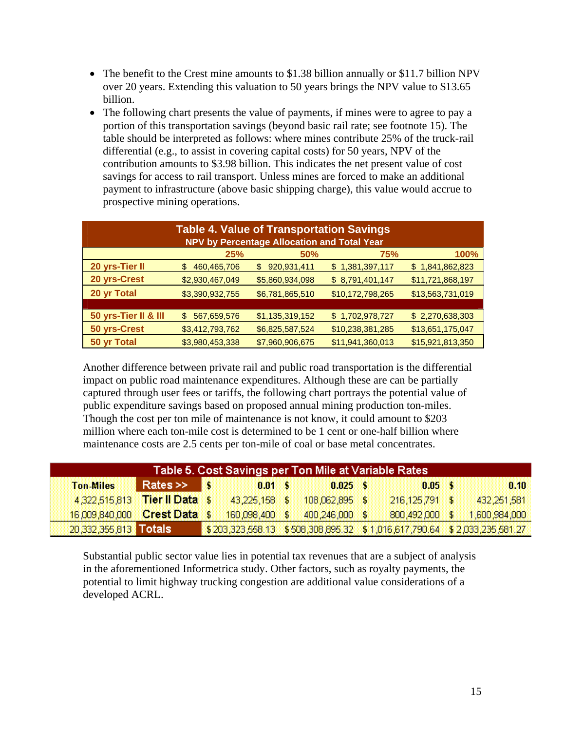- The benefit to the Crest mine amounts to \$1.38 billion annually or \$11.7 billion NPV over 20 years. Extending this valuation to 50 years brings the NPV value to \$13.65 billion.
- The following chart presents the value of payments, if mines were to agree to pay a portion of this transportation savings (beyond basic rail rate; see footnote 15). The table should be interpreted as follows: where mines contribute 25% of the truck-rail differential (e.g., to assist in covering capital costs) for 50 years, NPV of the contribution amounts to \$3.98 billion. This indicates the net present value of cost savings for access to rail transport. Unless mines are forced to make an additional payment to infrastructure (above basic shipping charge), this value would accrue to prospective mining operations.

|                      | <b>Table 4. Value of Transportation Savings</b> |                                             |                  |                  |
|----------------------|-------------------------------------------------|---------------------------------------------|------------------|------------------|
|                      |                                                 | NPV by Percentage Allocation and Total Year |                  |                  |
|                      | <b>25%</b>                                      | 50%                                         | 75%              | 100%             |
| 20 yrs-Tier II       | 460,465,706<br>\$                               | 920,931,411<br>\$                           | \$1,381,397,117  | \$1,841,862,823  |
| 20 yrs-Crest         | \$2,930,467,049                                 | \$5,860,934,098                             | \$8,791,401,147  | \$11,721,868,197 |
| 20 yr Total          | \$3,390,932,755                                 | \$6,781,865,510                             | \$10,172,798,265 | \$13,563,731,019 |
|                      |                                                 |                                             |                  |                  |
| 50 yrs-Tier II & III | 567,659,576<br>\$.                              | \$1,135,319,152                             | \$1,702,978,727  | \$2,270,638,303  |
| 50 yrs-Crest         | \$3,412,793,762                                 | \$6,825,587,524                             | \$10,238,381,285 | \$13,651,175,047 |
| 50 yr Total          | \$3,980,453,338                                 | \$7,960,906,675                             | \$11,941,360,013 | \$15,921,813,350 |

Another difference between private rail and public road transportation is the differential impact on public road maintenance expenditures. Although these are can be partially captured through user fees or tariffs, the following chart portrays the potential value of public expenditure savings based on proposed annual mining production ton-miles. Though the cost per ton mile of maintenance is not know, it could amount to \$203 million where each ton-mile cost is determined to be 1 cent or one-half billion where maintenance costs are 2.5 cents per ton-mile of coal or base metal concentrates.

|                               | Table 5. Cost Savings per Ton Mile at Variable Rates |  |                 |  |                |                                                                         |               |
|-------------------------------|------------------------------------------------------|--|-----------------|--|----------------|-------------------------------------------------------------------------|---------------|
| <b>Ton-Miles</b>              | $\mathsf{Rates} \gg \mathsf{S}$                      |  | $0.01 \pm 1.00$ |  | $0.025$ \$     | $0.05 \pm 1.00$                                                         | <b>0.10</b>   |
| 4,322,515,813 Tier Il Data \$ |                                                      |  | 43,225,158 \$   |  | 108.062.895 \$ | 216,125,791 \$                                                          | 432,251,581   |
| 16,009,840,000 Crest Data \$  |                                                      |  | 160,098,400 \$  |  | 400,246,000 \$ | 800,492,000 \$                                                          | 1,600,984,000 |
| 20,332,355,813 Totals         |                                                      |  |                 |  |                | \$203,323,558.13 \$508,308,895.32 \$1,016,617,790.64 \$2,033,235,581.27 |               |

Substantial public sector value lies in potential tax revenues that are a subject of analysis in the aforementioned Informetrica study. Other factors, such as royalty payments, the potential to limit highway trucking congestion are additional value considerations of a developed ACRL.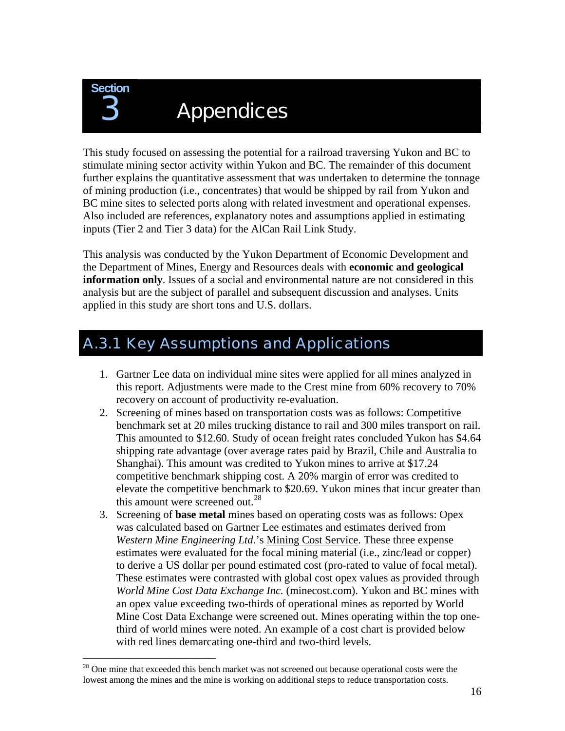

 $\overline{a}$ 

# **Appendices**

This study focused on assessing the potential for a railroad traversing Yukon and BC to stimulate mining sector activity within Yukon and BC. The remainder of this document further explains the quantitative assessment that was undertaken to determine the tonnage of mining production (i.e., concentrates) that would be shipped by rail from Yukon and BC mine sites to selected ports along with related investment and operational expenses. Also included are references, explanatory notes and assumptions applied in estimating inputs (Tier 2 and Tier 3 data) for the AlCan Rail Link Study.

This analysis was conducted by the Yukon Department of Economic Development and the Department of Mines, Energy and Resources deals with **economic and geological information only**. Issues of a social and environmental nature are not considered in this analysis but are the subject of parallel and subsequent discussion and analyses. Units applied in this study are short tons and U.S. dollars.

# A.3.1 Key Assumptions and Applications

- 1. Gartner Lee data on individual mine sites were applied for all mines analyzed in this report. Adjustments were made to the Crest mine from 60% recovery to 70% recovery on account of productivity re-evaluation.
- 2. Screening of mines based on transportation costs was as follows: Competitive benchmark set at 20 miles trucking distance to rail and 300 miles transport on rail. This amounted to \$12.60. Study of ocean freight rates concluded Yukon has \$4.64 shipping rate advantage (over average rates paid by Brazil, Chile and Australia to Shanghai). This amount was credited to Yukon mines to arrive at \$17.24 competitive benchmark shipping cost. A 20% margin of error was credited to elevate the competitive benchmark to \$20.69. Yukon mines that incur greater than this amount were screened out.<sup>28</sup>
- 3. Screening of **base metal** mines based on operating costs was as follows: Opex was calculated based on Gartner Lee estimates and estimates derived from *Western Mine Engineering Ltd*.'s Mining Cost Service. These three expense estimates were evaluated for the focal mining material (i.e., zinc/lead or copper) to derive a US dollar per pound estimated cost (pro-rated to value of focal metal). These estimates were contrasted with global cost opex values as provided through *World Mine Cost Data Exchange Inc.* (minecost.com). Yukon and BC mines with an opex value exceeding two-thirds of operational mines as reported by World Mine Cost Data Exchange were screened out. Mines operating within the top onethird of world mines were noted. An example of a cost chart is provided below with red lines demarcating one-third and two-third levels.

<span id="page-15-0"></span> $2<sup>28</sup>$  One mine that exceeded this bench market was not screened out because operational costs were the lowest among the mines and the mine is working on additional steps to reduce transportation costs.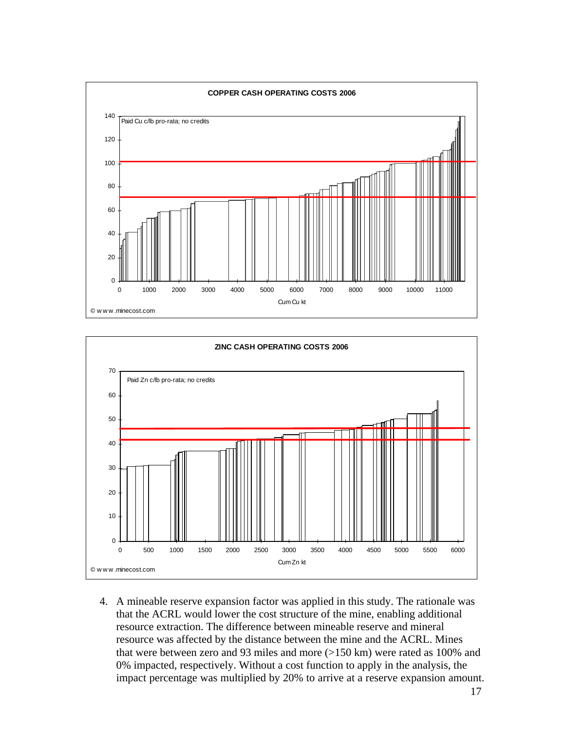



4. A mineable reserve expansion factor was applied in this study. The rationale was that the ACRL would lower the cost structure of the mine, enabling additional resource extraction. The difference between mineable reserve and mineral resource was affected by the distance between the mine and the ACRL. Mines that were between zero and 93 miles and more (>150 km) were rated as 100% and 0% impacted, respectively. Without a cost function to apply in the analysis, the impact percentage was multiplied by 20% to arrive at a reserve expansion amount.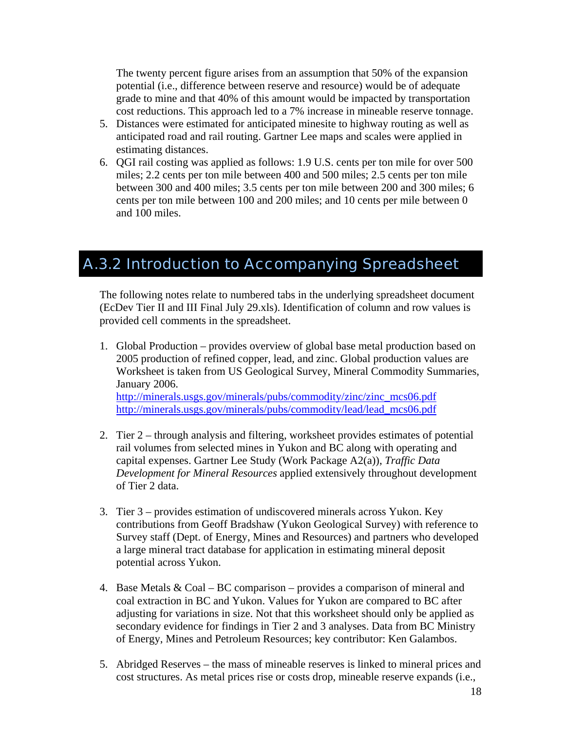The twenty percent figure arises from an assumption that 50% of the expansion potential (i.e., difference between reserve and resource) would be of adequate grade to mine and that 40% of this amount would be impacted by transportation cost reductions. This approach led to a 7% increase in mineable reserve tonnage.

- 5. Distances were estimated for anticipated minesite to highway routing as well as anticipated road and rail routing. Gartner Lee maps and scales were applied in estimating distances.
- 6. QGI rail costing was applied as follows: 1.9 U.S. cents per ton mile for over 500 miles; 2.2 cents per ton mile between 400 and 500 miles; 2.5 cents per ton mile between 300 and 400 miles; 3.5 cents per ton mile between 200 and 300 miles; 6 cents per ton mile between 100 and 200 miles; and 10 cents per mile between 0 and 100 miles.

# A.3.2 Introduction to Accompanying Spreadsheet

The following notes relate to numbered tabs in the underlying spreadsheet document (EcDev Tier II and III Final July 29.xls). Identification of column and row values is provided cell comments in the spreadsheet.

- 1. Global Production provides overview of global base metal production based on 2005 production of refined copper, lead, and zinc. Global production values are Worksheet is taken from US Geological Survey, Mineral Commodity Summaries, January 2006. [http://minerals.usgs.gov/minerals/pubs/commodity/zinc/zinc\\_mcs06.pdf](http://minerals.usgs.gov/minerals/pubs/commodity/zinc/zinc_mcs06.pdf) [http://minerals.usgs.gov/minerals/pubs/commodity/lead/lead\\_mcs06.pdf](http://minerals.usgs.gov/minerals/pubs/commodity/lead/lead_mcs06.pdf)
- 2. Tier 2 through analysis and filtering, worksheet provides estimates of potential rail volumes from selected mines in Yukon and BC along with operating and capital expenses. Gartner Lee Study (Work Package A2(a)), *Traffic Data Development for Mineral Resources* applied extensively throughout development of Tier 2 data.
- 3. Tier 3 provides estimation of undiscovered minerals across Yukon. Key contributions from Geoff Bradshaw (Yukon Geological Survey) with reference to Survey staff (Dept. of Energy, Mines and Resources) and partners who developed a large mineral tract database for application in estimating mineral deposit potential across Yukon.
- 4. Base Metals & Coal BC comparison provides a comparison of mineral and coal extraction in BC and Yukon. Values for Yukon are compared to BC after adjusting for variations in size. Not that this worksheet should only be applied as secondary evidence for findings in Tier 2 and 3 analyses. Data from BC Ministry of Energy, Mines and Petroleum Resources; key contributor: Ken Galambos.
- 5. Abridged Reserves the mass of mineable reserves is linked to mineral prices and cost structures. As metal prices rise or costs drop, mineable reserve expands (i.e.,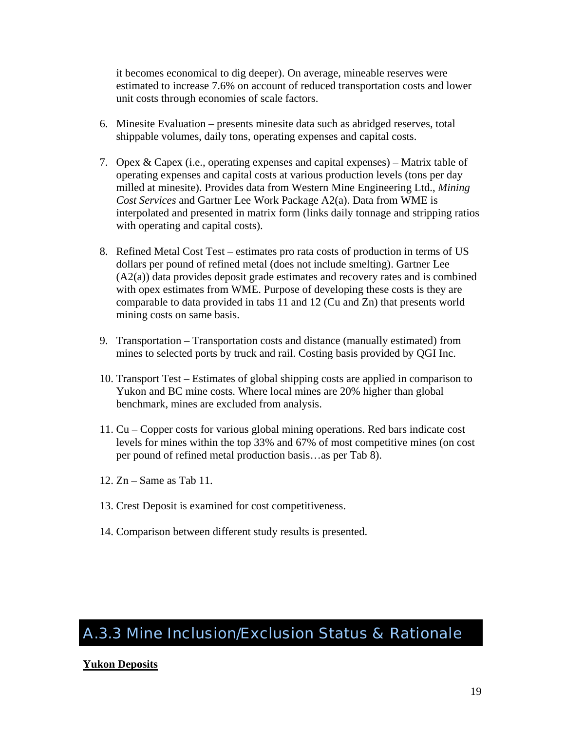it becomes economical to dig deeper). On average, mineable reserves were estimated to increase 7.6% on account of reduced transportation costs and lower unit costs through economies of scale factors.

- 6. Minesite Evaluation presents minesite data such as abridged reserves, total shippable volumes, daily tons, operating expenses and capital costs.
- 7. Opex & Capex (i.e., operating expenses and capital expenses) Matrix table of operating expenses and capital costs at various production levels (tons per day milled at minesite). Provides data from Western Mine Engineering Ltd., *Mining Cost Services* and Gartner Lee Work Package A2(a). Data from WME is interpolated and presented in matrix form (links daily tonnage and stripping ratios with operating and capital costs).
- 8. Refined Metal Cost Test estimates pro rata costs of production in terms of US dollars per pound of refined metal (does not include smelting). Gartner Lee (A2(a)) data provides deposit grade estimates and recovery rates and is combined with opex estimates from WME. Purpose of developing these costs is they are comparable to data provided in tabs 11 and 12 (Cu and Zn) that presents world mining costs on same basis.
- 9. Transportation Transportation costs and distance (manually estimated) from mines to selected ports by truck and rail. Costing basis provided by QGI Inc.
- 10. Transport Test Estimates of global shipping costs are applied in comparison to Yukon and BC mine costs. Where local mines are 20% higher than global benchmark, mines are excluded from analysis.
- 11. Cu Copper costs for various global mining operations. Red bars indicate cost levels for mines within the top 33% and 67% of most competitive mines (on cost per pound of refined metal production basis…as per Tab 8).
- 12. Zn Same as Tab 11.
- 13. Crest Deposit is examined for cost competitiveness.
- 14. Comparison between different study results is presented.

# A.3.3 Mine Inclusion/Exclusion Status & Rationale

# **Yukon Deposits**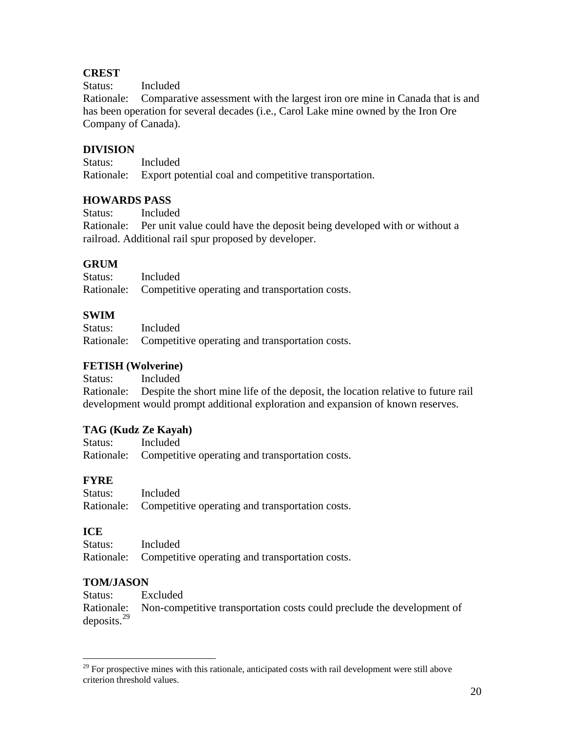# **CREST**

Status: Included

Rationale: Comparative assessment with the largest iron ore mine in Canada that is and has been operation for several decades (i.e., Carol Lake mine owned by the Iron Ore Company of Canada).

# **DIVISION**

Status: Included Rationale: Export potential coal and competitive transportation.

# **HOWARDS PASS**

Status: Included

Rationale: Per unit value could have the deposit being developed with or without a railroad. Additional rail spur proposed by developer.

# **GRUM**

| Status: | Included                                                   |
|---------|------------------------------------------------------------|
|         | Rationale: Competitive operating and transportation costs. |

# **SWIM**

| Status: | Included                                                   |
|---------|------------------------------------------------------------|
|         | Rationale: Competitive operating and transportation costs. |

# **FETISH (Wolverine)**

Status: Included

Rationale: Despite the short mine life of the deposit, the location relative to future rail development would prompt additional exploration and expansion of known reserves.

# **TAG (Kudz Ze Kayah)**

| Status: | Included                                                   |
|---------|------------------------------------------------------------|
|         | Rationale: Competitive operating and transportation costs. |

# **FYRE**

| Status: | Included                                                   |
|---------|------------------------------------------------------------|
|         | Rationale: Competitive operating and transportation costs. |

# **ICE**

| Status: | Included                                                   |
|---------|------------------------------------------------------------|
|         | Rationale: Competitive operating and transportation costs. |

# **TOM/JASON**

Status: Excluded Rationale: Non-competitive transportation costs could preclude the development of deposits.[29](#page-19-0)

<span id="page-19-0"></span> $\overline{a}$  $29$  For prospective mines with this rationale, anticipated costs with rail development were still above criterion threshold values.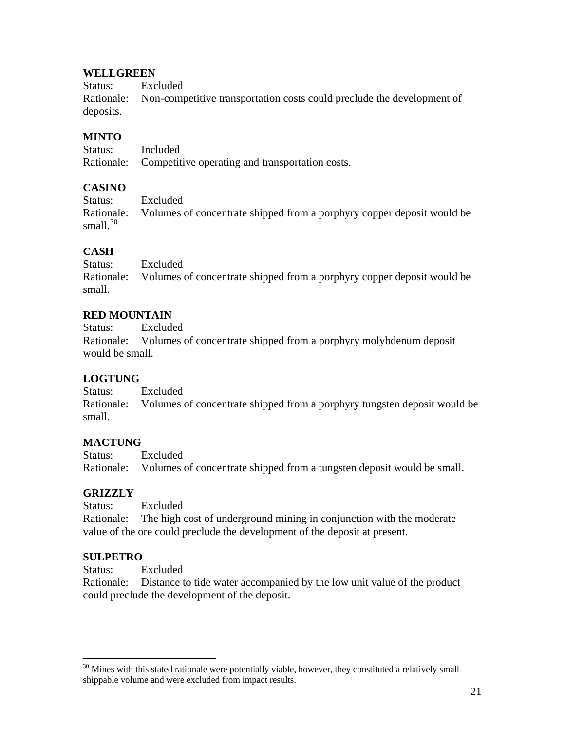#### **WELLGREEN**

Status: Excluded Rationale: Non-competitive transportation costs could preclude the development of deposits.

### **MINTO**

| Status: | Included                                                   |
|---------|------------------------------------------------------------|
|         | Rationale: Competitive operating and transportation costs. |

#### **CASINO**

| Status:     | Excluded                                                                          |
|-------------|-----------------------------------------------------------------------------------|
| small. $30$ | Rationale: Volumes of concentrate shipped from a porphyry copper deposit would be |
|             |                                                                                   |

# **CASH**

Status: Excluded Rationale: Volumes of concentrate shipped from a porphyry copper deposit would be small.

#### **RED MOUNTAIN**

Status: Excluded Rationale: Volumes of concentrate shipped from a porphyry molybdenum deposit would be small.

# **LOGTUNG**

Status: Excluded Rationale: Volumes of concentrate shipped from a porphyry tungsten deposit would be small.

#### **MACTUNG**

Status: Excluded Rationale: Volumes of concentrate shipped from a tungsten deposit would be small.

#### **GRIZZLY**

Status: Excluded Rationale: The high cost of underground mining in conjunction with the moderate value of the ore could preclude the development of the deposit at present.

#### **SULPETRO**

 $\overline{a}$ 

Status: Excluded

Rationale: Distance to tide water accompanied by the low unit value of the product could preclude the development of the deposit.

<span id="page-20-0"></span> $30$  Mines with this stated rationale were potentially viable, however, they constituted a relatively small shippable volume and were excluded from impact results.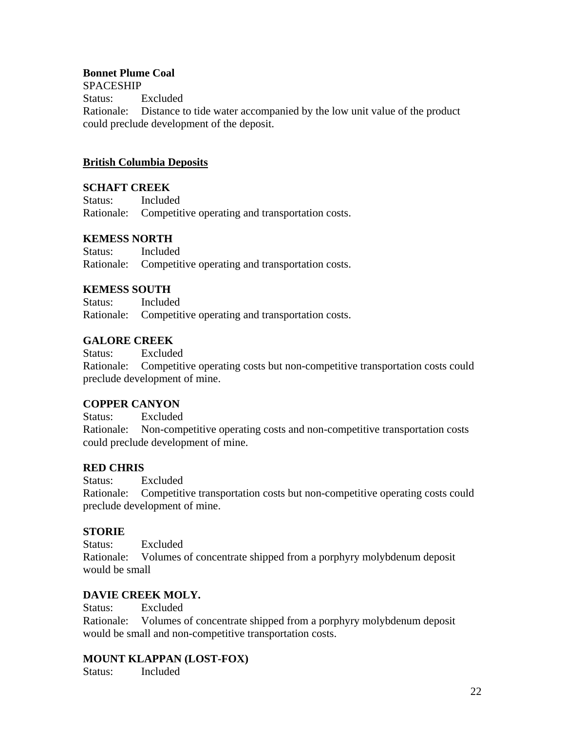### **Bonnet Plume Coal**

SPACESHIP

Status: Excluded Rationale: Distance to tide water accompanied by the low unit value of the product could preclude development of the deposit.

# **British Columbia Deposits**

#### **SCHAFT CREEK**

| Status: | Included                                                   |
|---------|------------------------------------------------------------|
|         | Rationale: Competitive operating and transportation costs. |

#### **KEMESS NORTH**

| Status: | Included                                                   |
|---------|------------------------------------------------------------|
|         | Rationale: Competitive operating and transportation costs. |

#### **KEMESS SOUTH**

Status: Included Rationale: Competitive operating and transportation costs.

#### **GALORE CREEK**

Status: Excluded Rationale: Competitive operating costs but non-competitive transportation costs could preclude development of mine.

#### **COPPER CANYON**

Status: Excluded Rationale: Non-competitive operating costs and non-competitive transportation costs could preclude development of mine.

# **RED CHRIS**

Status: Excluded Rationale: Competitive transportation costs but non-competitive operating costs could preclude development of mine.

#### **STORIE**

Status: Excluded Rationale: Volumes of concentrate shipped from a porphyry molybdenum deposit would be small

# **DAVIE CREEK MOLY.**

Status: Excluded

Rationale: Volumes of concentrate shipped from a porphyry molybdenum deposit would be small and non-competitive transportation costs.

# **MOUNT KLAPPAN (LOST-FOX)**

Status: Included